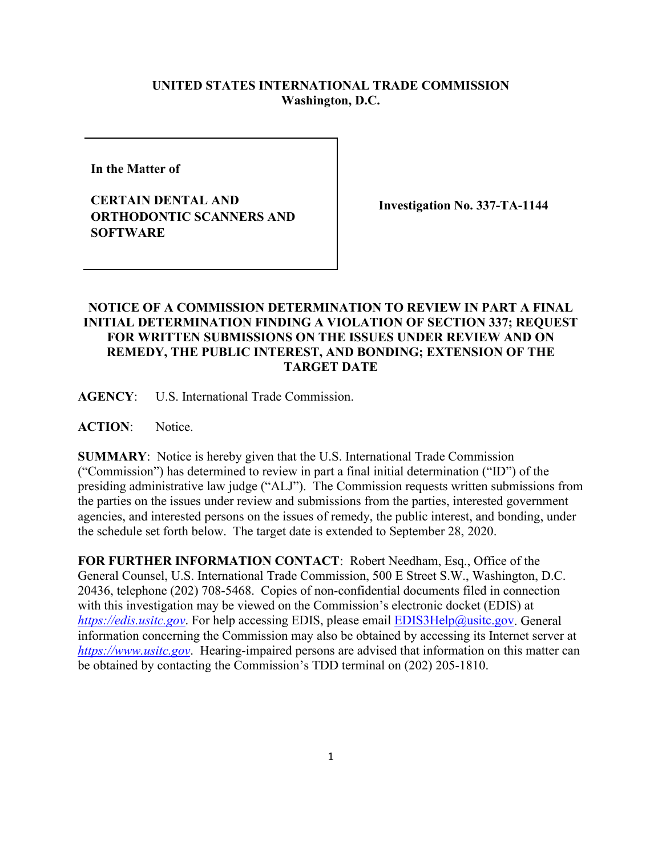## **UNITED STATES INTERNATIONAL TRADE COMMISSION Washington, D.C.**

**In the Matter of** 

**CERTAIN DENTAL AND ORTHODONTIC SCANNERS AND SOFTWARE**

**Investigation No. 337-TA-1144**

## **NOTICE OF A COMMISSION DETERMINATION TO REVIEW IN PART A FINAL INITIAL DETERMINATION FINDING A VIOLATION OF SECTION 337; REQUEST FOR WRITTEN SUBMISSIONS ON THE ISSUES UNDER REVIEW AND ON REMEDY, THE PUBLIC INTEREST, AND BONDING; EXTENSION OF THE TARGET DATE**

**AGENCY**: U.S. International Trade Commission.

**ACTION**: Notice.

**SUMMARY**: Notice is hereby given that the U.S. International Trade Commission ("Commission") has determined to review in part a final initial determination ("ID") of the presiding administrative law judge ("ALJ"). The Commission requests written submissions from the parties on the issues under review and submissions from the parties, interested government agencies, and interested persons on the issues of remedy, the public interest, and bonding, under the schedule set forth below. The target date is extended to September 28, 2020.

**FOR FURTHER INFORMATION CONTACT**: Robert Needham, Esq., Office of the General Counsel, U.S. International Trade Commission, 500 E Street S.W., Washington, D.C. 20436, telephone (202) 708-5468. Copies of non-confidential documents filed in connection with this investigation may be viewed on the Commission's electronic docket (EDIS) at *[https://edis.usitc.gov](https://edis.usitc.gov/).* For help accessing EDIS, please email [EDIS3Help@usitc.gov.](mailto:EDIS3Help@usitc.gov) General information concerning the Commission may also be obtained by accessing its Internet server at *[https://www.usitc.gov](https://www.usitc.gov/)*. Hearing-impaired persons are advised that information on this matter can be obtained by contacting the Commission's TDD terminal on (202) 205-1810.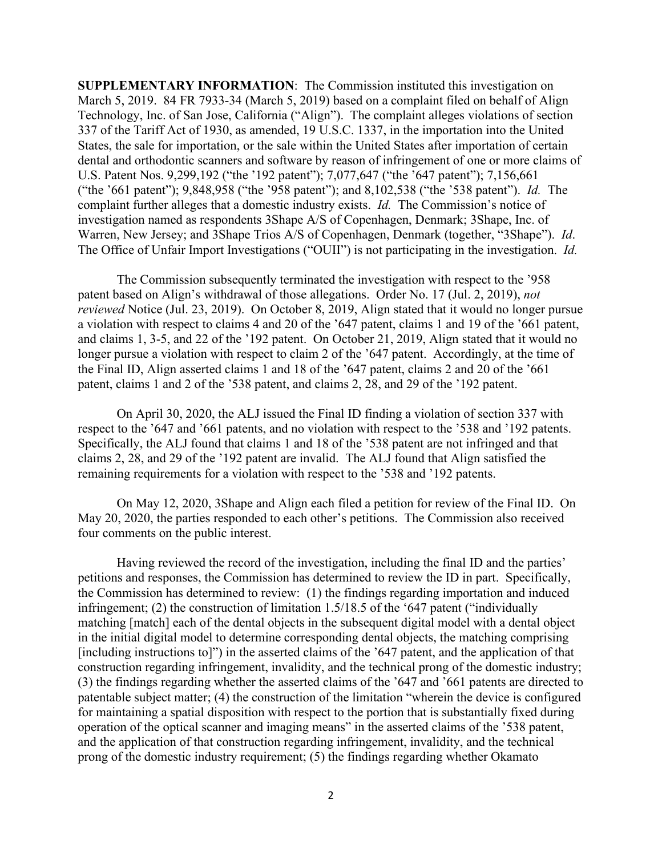**SUPPLEMENTARY INFORMATION**: The Commission instituted this investigation on March 5, 2019. 84 FR 7933-34 (March 5, 2019) based on a complaint filed on behalf of Align Technology, Inc. of San Jose, California ("Align"). The complaint alleges violations of section 337 of the Tariff Act of 1930, as amended, 19 U.S.C. 1337, in the importation into the United States, the sale for importation, or the sale within the United States after importation of certain dental and orthodontic scanners and software by reason of infringement of one or more claims of U.S. Patent Nos. 9,299,192 ("the '192 patent"); 7,077,647 ("the '647 patent"); 7,156,661 ("the '661 patent"); 9,848,958 ("the '958 patent"); and 8,102,538 ("the '538 patent"). *Id.* The complaint further alleges that a domestic industry exists. *Id.* The Commission's notice of investigation named as respondents 3Shape A/S of Copenhagen, Denmark; 3Shape, Inc. of Warren, New Jersey; and 3Shape Trios A/S of Copenhagen, Denmark (together, "3Shape"). *Id*. The Office of Unfair Import Investigations ("OUII") is not participating in the investigation. *Id.*

The Commission subsequently terminated the investigation with respect to the '958 patent based on Align's withdrawal of those allegations. Order No. 17 (Jul. 2, 2019), *not reviewed* Notice (Jul. 23, 2019). On October 8, 2019, Align stated that it would no longer pursue a violation with respect to claims 4 and 20 of the '647 patent, claims 1 and 19 of the '661 patent, and claims 1, 3-5, and 22 of the '192 patent. On October 21, 2019, Align stated that it would no longer pursue a violation with respect to claim 2 of the '647 patent. Accordingly, at the time of the Final ID, Align asserted claims 1 and 18 of the '647 patent, claims 2 and 20 of the '661 patent, claims 1 and 2 of the '538 patent, and claims 2, 28, and 29 of the '192 patent.

On April 30, 2020, the ALJ issued the Final ID finding a violation of section 337 with respect to the '647 and '661 patents, and no violation with respect to the '538 and '192 patents. Specifically, the ALJ found that claims 1 and 18 of the '538 patent are not infringed and that claims 2, 28, and 29 of the '192 patent are invalid. The ALJ found that Align satisfied the remaining requirements for a violation with respect to the '538 and '192 patents.

On May 12, 2020, 3Shape and Align each filed a petition for review of the Final ID. On May 20, 2020, the parties responded to each other's petitions. The Commission also received four comments on the public interest.

Having reviewed the record of the investigation, including the final ID and the parties' petitions and responses, the Commission has determined to review the ID in part. Specifically, the Commission has determined to review: (1) the findings regarding importation and induced infringement; (2) the construction of limitation 1.5/18.5 of the '647 patent ("individually matching [match] each of the dental objects in the subsequent digital model with a dental object in the initial digital model to determine corresponding dental objects, the matching comprising [including instructions to]") in the asserted claims of the '647 patent, and the application of that construction regarding infringement, invalidity, and the technical prong of the domestic industry; (3) the findings regarding whether the asserted claims of the '647 and '661 patents are directed to patentable subject matter; (4) the construction of the limitation "wherein the device is configured for maintaining a spatial disposition with respect to the portion that is substantially fixed during operation of the optical scanner and imaging means" in the asserted claims of the '538 patent, and the application of that construction regarding infringement, invalidity, and the technical prong of the domestic industry requirement; (5) the findings regarding whether Okamato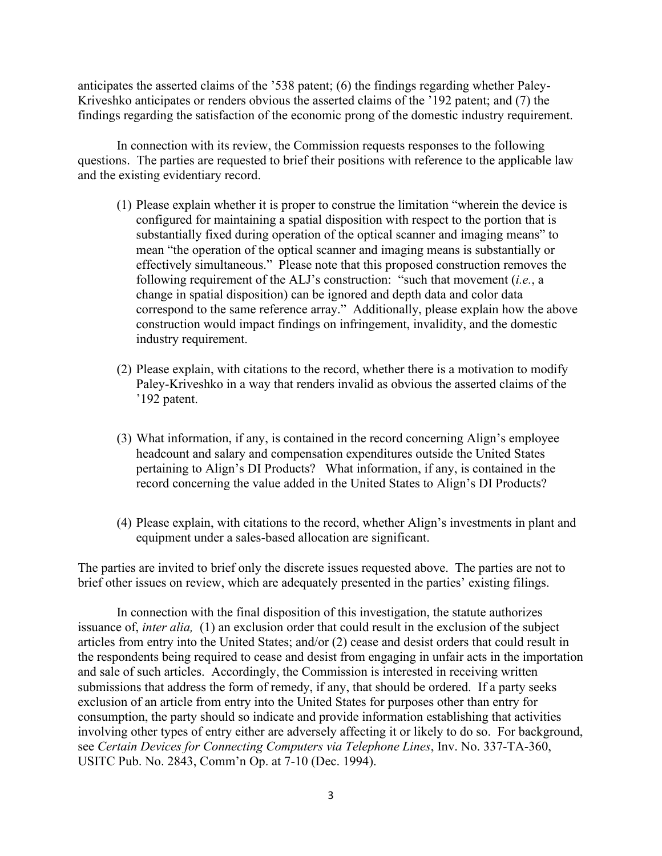anticipates the asserted claims of the '538 patent; (6) the findings regarding whether Paley-Kriveshko anticipates or renders obvious the asserted claims of the '192 patent; and (7) the findings regarding the satisfaction of the economic prong of the domestic industry requirement.

In connection with its review, the Commission requests responses to the following questions. The parties are requested to brief their positions with reference to the applicable law and the existing evidentiary record.

- (1) Please explain whether it is proper to construe the limitation "wherein the device is configured for maintaining a spatial disposition with respect to the portion that is substantially fixed during operation of the optical scanner and imaging means" to mean "the operation of the optical scanner and imaging means is substantially or effectively simultaneous." Please note that this proposed construction removes the following requirement of the ALJ's construction: "such that movement (*i.e.*, a change in spatial disposition) can be ignored and depth data and color data correspond to the same reference array." Additionally, please explain how the above construction would impact findings on infringement, invalidity, and the domestic industry requirement.
- (2) Please explain, with citations to the record, whether there is a motivation to modify Paley-Kriveshko in a way that renders invalid as obvious the asserted claims of the '192 patent.
- (3) What information, if any, is contained in the record concerning Align's employee headcount and salary and compensation expenditures outside the United States pertaining to Align's DI Products? What information, if any, is contained in the record concerning the value added in the United States to Align's DI Products?
- (4) Please explain, with citations to the record, whether Align's investments in plant and equipment under a sales-based allocation are significant.

The parties are invited to brief only the discrete issues requested above. The parties are not to brief other issues on review, which are adequately presented in the parties' existing filings.

In connection with the final disposition of this investigation, the statute authorizes issuance of, *inter alia,* (1) an exclusion order that could result in the exclusion of the subject articles from entry into the United States; and/or (2) cease and desist orders that could result in the respondents being required to cease and desist from engaging in unfair acts in the importation and sale of such articles. Accordingly, the Commission is interested in receiving written submissions that address the form of remedy, if any, that should be ordered. If a party seeks exclusion of an article from entry into the United States for purposes other than entry for consumption, the party should so indicate and provide information establishing that activities involving other types of entry either are adversely affecting it or likely to do so. For background, see *Certain Devices for Connecting Computers via Telephone Lines*, Inv. No. 337-TA-360, USITC Pub. No. 2843, Comm'n Op. at 7-10 (Dec. 1994).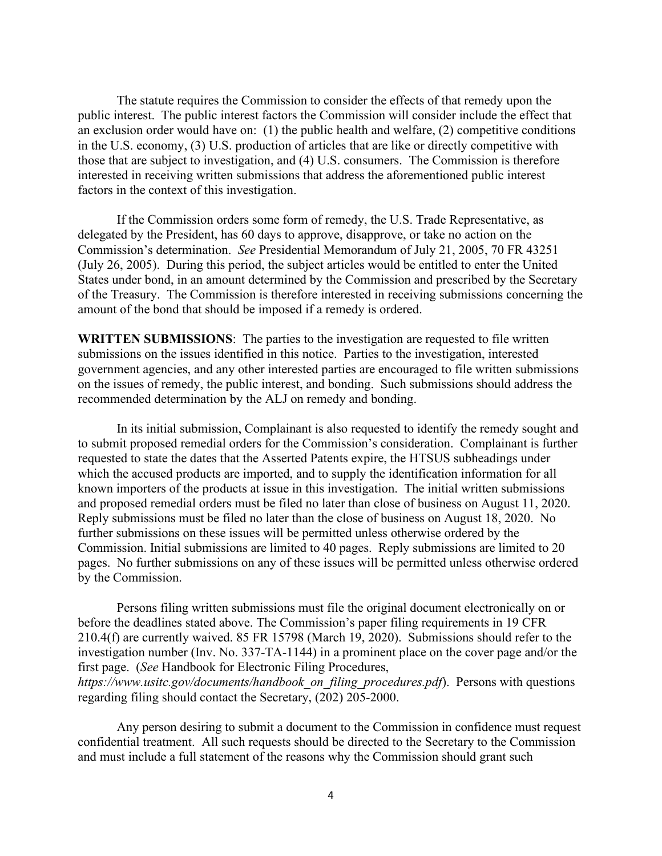The statute requires the Commission to consider the effects of that remedy upon the public interest. The public interest factors the Commission will consider include the effect that an exclusion order would have on: (1) the public health and welfare, (2) competitive conditions in the U.S. economy, (3) U.S. production of articles that are like or directly competitive with those that are subject to investigation, and (4) U.S. consumers. The Commission is therefore interested in receiving written submissions that address the aforementioned public interest factors in the context of this investigation.

If the Commission orders some form of remedy, the U.S. Trade Representative, as delegated by the President, has 60 days to approve, disapprove, or take no action on the Commission's determination. *See* Presidential Memorandum of July 21, 2005, 70 FR 43251 (July 26, 2005). During this period, the subject articles would be entitled to enter the United States under bond, in an amount determined by the Commission and prescribed by the Secretary of the Treasury. The Commission is therefore interested in receiving submissions concerning the amount of the bond that should be imposed if a remedy is ordered.

**WRITTEN SUBMISSIONS**: The parties to the investigation are requested to file written submissions on the issues identified in this notice. Parties to the investigation, interested government agencies, and any other interested parties are encouraged to file written submissions on the issues of remedy, the public interest, and bonding. Such submissions should address the recommended determination by the ALJ on remedy and bonding.

In its initial submission, Complainant is also requested to identify the remedy sought and to submit proposed remedial orders for the Commission's consideration. Complainant is further requested to state the dates that the Asserted Patents expire, the HTSUS subheadings under which the accused products are imported, and to supply the identification information for all known importers of the products at issue in this investigation. The initial written submissions and proposed remedial orders must be filed no later than close of business on August 11, 2020. Reply submissions must be filed no later than the close of business on August 18, 2020. No further submissions on these issues will be permitted unless otherwise ordered by the Commission. Initial submissions are limited to 40 pages. Reply submissions are limited to 20 pages. No further submissions on any of these issues will be permitted unless otherwise ordered by the Commission.

Persons filing written submissions must file the original document electronically on or before the deadlines stated above. The Commission's paper filing requirements in 19 CFR 210.4(f) are currently waived. 85 FR 15798 (March 19, 2020). Submissions should refer to the investigation number (Inv. No. 337-TA-1144) in a prominent place on the cover page and/or the first page. (*See* Handbook for Electronic Filing Procedures, *https://www.usitc.gov/documents/handbook\_on\_filing\_procedures.pdf*). Persons with questions regarding filing should contact the Secretary, (202) 205-2000.

Any person desiring to submit a document to the Commission in confidence must request confidential treatment. All such requests should be directed to the Secretary to the Commission and must include a full statement of the reasons why the Commission should grant such